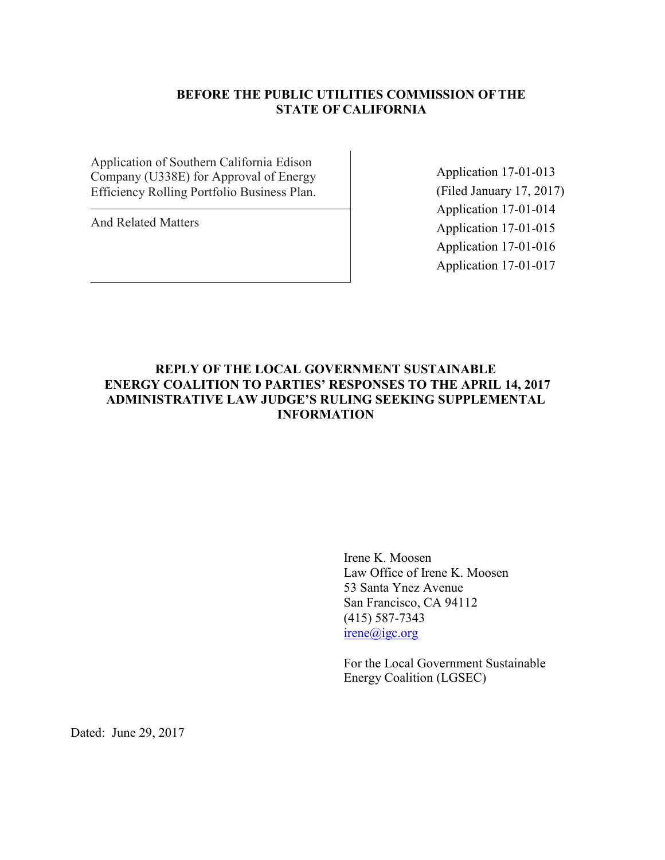# **BEFORE THE PUBLIC UTILITIES COMMISSION OFTHE STATE OF CALIFORNIA**

Application of Southern California Edison Company (U338E) for Approval of Energy Efficiency Rolling Portfolio Business Plan.

And Related Matters

Application 17-01-013 (Filed January 17, 2017) Application 17-01-014 Application 17-01-015 Application 17-01-016 Application 17-01-017

# **REPLY OF THE LOCAL GOVERNMENT SUSTAINABLE ENERGY COALITION TO PARTIES' RESPONSES TO THE APRIL 14, 2017 ADMINISTRATIVE LAW JUDGE'S RULING SEEKING SUPPLEMENTAL INFORMATION**

Irene K. Moosen Law Office of Irene K. Moosen 53 Santa Ynez Avenue San Francisco, CA 94112 (415) 587-7343 irene@igc.org

For the Local Government Sustainable Energy Coalition (LGSEC)

Dated: June 29, 2017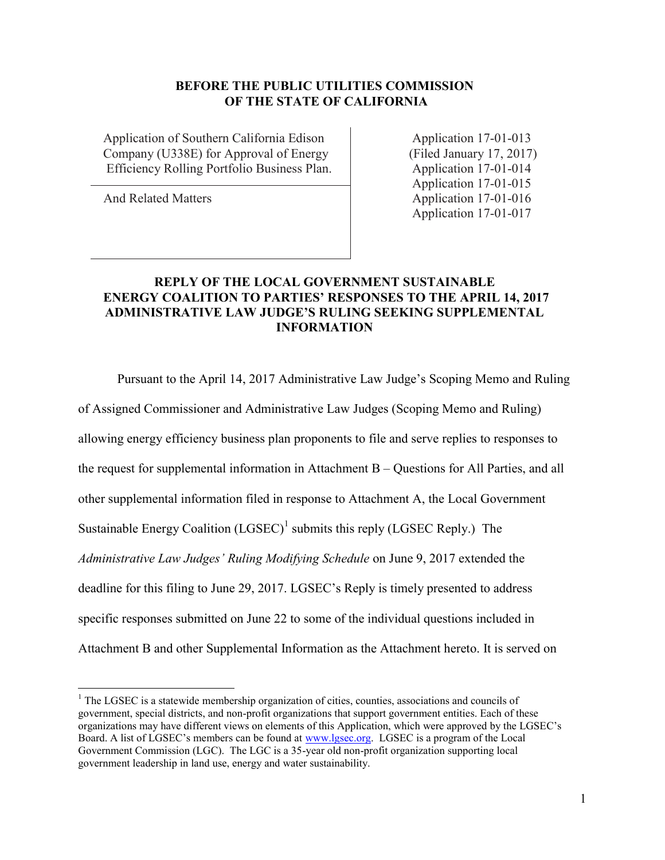# **BEFORE THE PUBLIC UTILITIES COMMISSION OF THE STATE OF CALIFORNIA**

Application of Southern California Edison Application 17-01-013 Company (U338E) for Approval of Energy (Filed January 17, 2017) Efficiency Rolling Portfolio Business Plan. Application 17-01-014

 $\overline{a}$ 

Application 17-01-015 And Related Matters Application 17-01-016 Application 17-01-017

# **REPLY OF THE LOCAL GOVERNMENT SUSTAINABLE ENERGY COALITION TO PARTIES' RESPONSES TO THE APRIL 14, 2017 ADMINISTRATIVE LAW JUDGE'S RULING SEEKING SUPPLEMENTAL INFORMATION**

Pursuant to the April 14, 2017 Administrative Law Judge's Scoping Memo and Ruling

of Assigned Commissioner and Administrative Law Judges (Scoping Memo and Ruling)

allowing energy efficiency business plan proponents to file and serve replies to responses to

the request for supplemental information in Attachment B – Questions for All Parties, and all

other supplemental information filed in response to Attachment A, the Local Government

Sustainable Energy Coalition  $(LGSEC)^1$  submits this reply (LGSEC Reply.) The

*Administrative Law Judges' Ruling Modifying Schedule* on June 9, 2017 extended the

deadline for this filing to June 29, 2017. LGSEC's Reply is timely presented to address

specific responses submitted on June 22 to some of the individual questions included in

Attachment B and other Supplemental Information as the Attachment hereto. It is served on

 $<sup>1</sup>$  The LGSEC is a statewide membership organization of cities, counties, associations and councils of</sup> government, special districts, and non-profit organizations that support government entities. Each of these organizations may have different views on elements of this Application, which were approved by the LGSEC's Board. A list of LGSEC's members can be found at [www.lgsec.org.](http://www.lgsec.org/) LGSEC is a program of the Local Government Commission (LGC). The LGC is a 35-year old non-profit organization supporting local government leadership in land use, energy and water sustainability.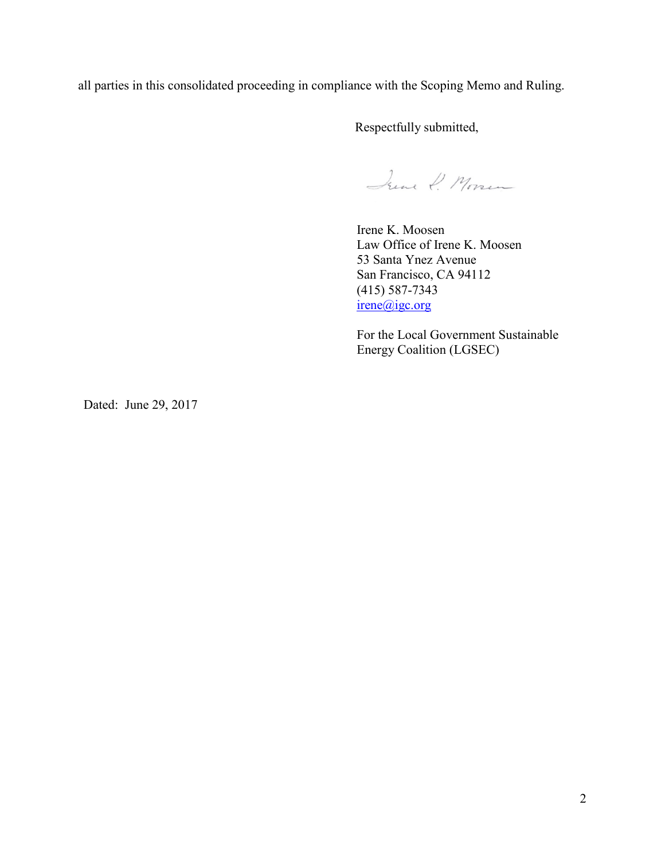all parties in this consolidated proceeding in compliance with the Scoping Memo and Ruling.

Respectfully submitted,

June P. Moren

Irene K. Moosen Law Office of Irene K. Moosen 53 Santa Ynez Avenue San Francisco, CA 94112 (415) 587-7343 irene@igc.org

For the Local Government Sustainable Energy Coalition (LGSEC)

Dated: June 29, 2017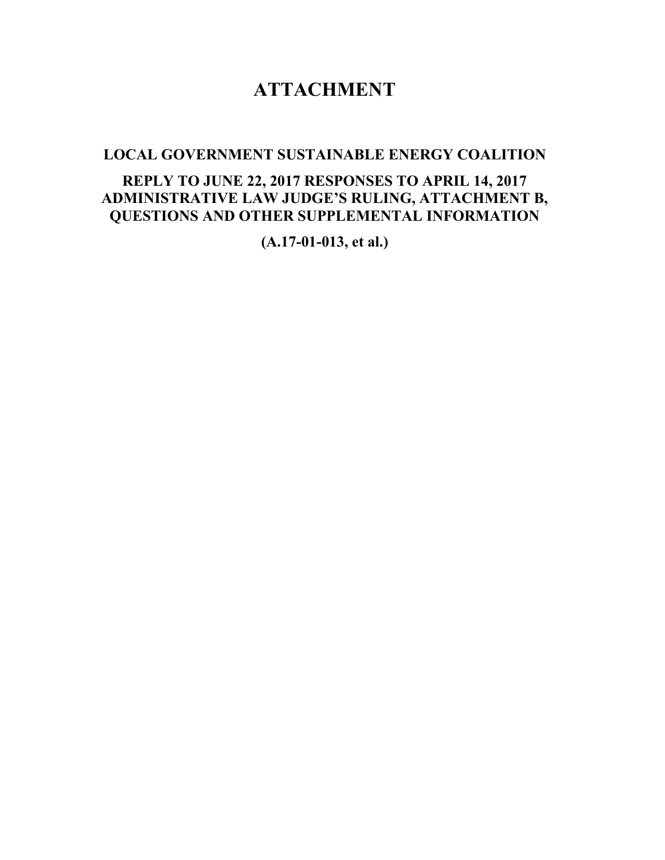# **ATTACHMENT**

**LOCAL GOVERNMENT SUSTAINABLE ENERGY COALITION**

# **REPLY TO JUNE 22, 2017 RESPONSES TO APRIL 14, 2017 ADMINISTRATIVE LAW JUDGE'S RULING, ATTACHMENT B, QUESTIONS AND OTHER SUPPLEMENTAL INFORMATION**

**(A.17-01-013, et al.)**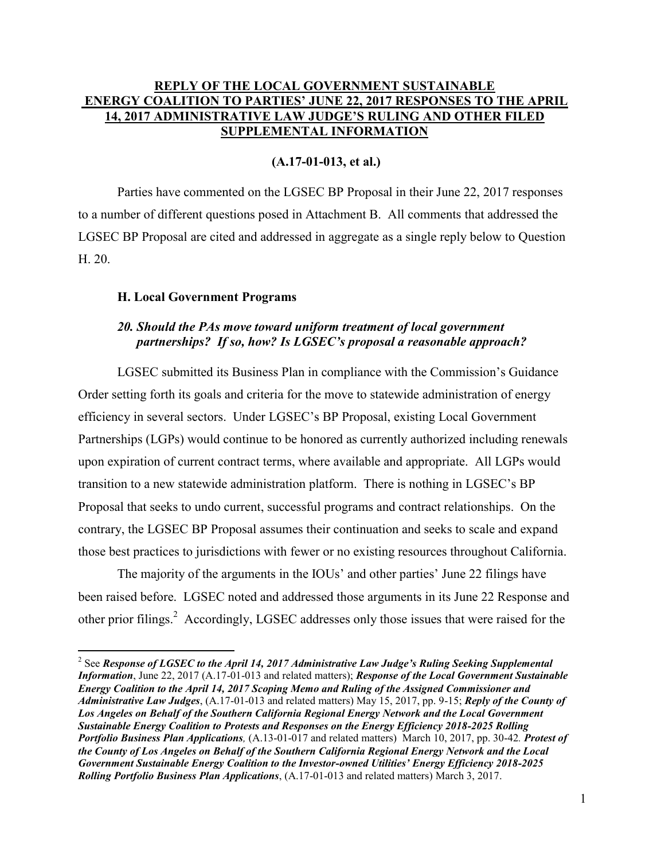# **REPLY OF THE LOCAL GOVERNMENT SUSTAINABLE ENERGY COALITION TO PARTIES' JUNE 22, 2017 RESPONSES TO THE APRIL 14, 2017 ADMINISTRATIVE LAW JUDGE'S RULING AND OTHER FILED SUPPLEMENTAL INFORMATION**

### **(A.17-01-013, et al.)**

Parties have commented on the LGSEC BP Proposal in their June 22, 2017 responses to a number of different questions posed in Attachment B. All comments that addressed the LGSEC BP Proposal are cited and addressed in aggregate as a single reply below to Question H. 20.

#### **H. Local Government Programs**

 $\overline{a}$ 

### *20. Should the PAs move toward uniform treatment of local government partnerships? If so, how? Is LGSEC's proposal a reasonable approach?*

LGSEC submitted its Business Plan in compliance with the Commission's Guidance Order setting forth its goals and criteria for the move to statewide administration of energy efficiency in several sectors. Under LGSEC's BP Proposal, existing Local Government Partnerships (LGPs) would continue to be honored as currently authorized including renewals upon expiration of current contract terms, where available and appropriate. All LGPs would transition to a new statewide administration platform. There is nothing in LGSEC's BP Proposal that seeks to undo current, successful programs and contract relationships. On the contrary, the LGSEC BP Proposal assumes their continuation and seeks to scale and expand those best practices to jurisdictions with fewer or no existing resources throughout California.

The majority of the arguments in the IOUs' and other parties' June 22 filings have been raised before. LGSEC noted and addressed those arguments in its June 22 Response and other prior filings.<sup>2</sup> Accordingly, LGSEC addresses only those issues that were raised for the

<sup>&</sup>lt;sup>2</sup> See *Response of LGSEC to the April 14, 2017 Administrative Law Judge's Ruling Seeking Supplemental Information*, June 22, 2017 (A.17-01-013 and related matters); *Response of the Local Government Sustainable Energy Coalition to the April 14, 2017 Scoping Memo and Ruling of the Assigned Commissioner and Administrative Law Judges*, (A.17-01-013 and related matters) May 15, 2017, pp. 9-15; *Reply of the County of Los Angeles on Behalf of the Southern California Regional Energy Network and the Local Government Sustainable Energy Coalition to Protests and Responses on the Energy Efficiency 2018-2025 Rolling Portfolio Business Plan Applications,* (A.13-01-017 and related matters) March 10, 2017, pp. 30-42*. Protest of the County of Los Angeles on Behalf of the Southern California Regional Energy Network and the Local Government Sustainable Energy Coalition to the Investor-owned Utilities' Energy Efficiency 2018-2025 Rolling Portfolio Business Plan Applications*, (A.17-01-013 and related matters) March 3, 2017.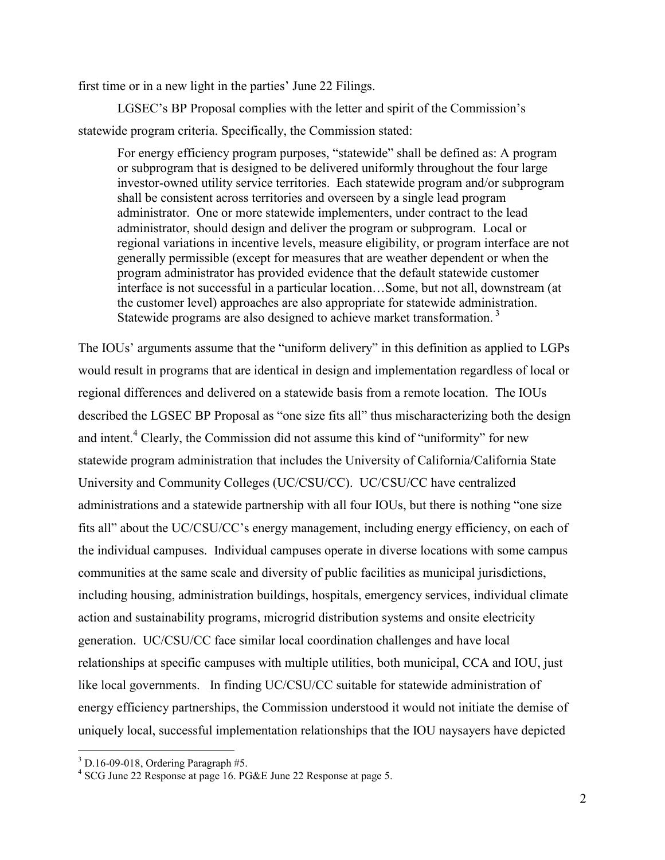first time or in a new light in the parties' June 22 Filings.

LGSEC's BP Proposal complies with the letter and spirit of the Commission's statewide program criteria. Specifically, the Commission stated:

For energy efficiency program purposes, "statewide" shall be defined as: A program or subprogram that is designed to be delivered uniformly throughout the four large investor-owned utility service territories. Each statewide program and/or subprogram shall be consistent across territories and overseen by a single lead program administrator. One or more statewide implementers, under contract to the lead administrator, should design and deliver the program or subprogram. Local or regional variations in incentive levels, measure eligibility, or program interface are not generally permissible (except for measures that are weather dependent or when the program administrator has provided evidence that the default statewide customer interface is not successful in a particular location…Some, but not all, downstream (at the customer level) approaches are also appropriate for statewide administration. Statewide programs are also designed to achieve market transformation.<sup>3</sup>

The IOUs' arguments assume that the "uniform delivery" in this definition as applied to LGPs would result in programs that are identical in design and implementation regardless of local or regional differences and delivered on a statewide basis from a remote location. The IOUs described the LGSEC BP Proposal as "one size fits all" thus mischaracterizing both the design and intent.<sup>4</sup> Clearly, the Commission did not assume this kind of "uniformity" for new statewide program administration that includes the University of California/California State University and Community Colleges (UC/CSU/CC). UC/CSU/CC have centralized administrations and a statewide partnership with all four IOUs, but there is nothing "one size fits all" about the UC/CSU/CC's energy management, including energy efficiency, on each of the individual campuses. Individual campuses operate in diverse locations with some campus communities at the same scale and diversity of public facilities as municipal jurisdictions, including housing, administration buildings, hospitals, emergency services, individual climate action and sustainability programs, microgrid distribution systems and onsite electricity generation. UC/CSU/CC face similar local coordination challenges and have local relationships at specific campuses with multiple utilities, both municipal, CCA and IOU, just like local governments. In finding UC/CSU/CC suitable for statewide administration of energy efficiency partnerships, the Commission understood it would not initiate the demise of uniquely local, successful implementation relationships that the IOU naysayers have depicted

 $3$  D.16-09-018, Ordering Paragraph #5.

<sup>4</sup> SCG June 22 Response at page 16. PG&E June 22 Response at page 5.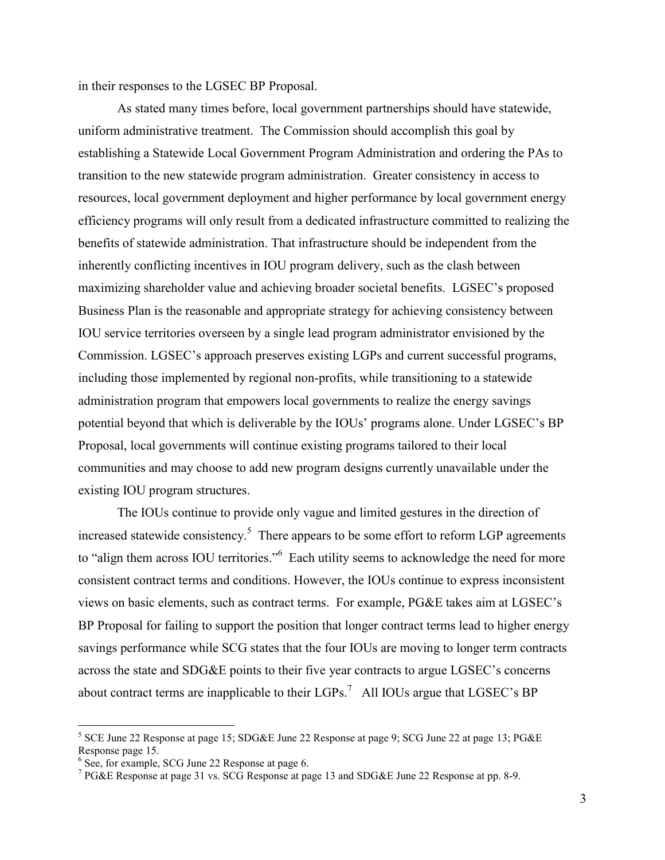in their responses to the LGSEC BP Proposal.

As stated many times before, local government partnerships should have statewide, uniform administrative treatment. The Commission should accomplish this goal by establishing a Statewide Local Government Program Administration and ordering the PAs to transition to the new statewide program administration. Greater consistency in access to resources, local government deployment and higher performance by local government energy efficiency programs will only result from a dedicated infrastructure committed to realizing the benefits of statewide administration. That infrastructure should be independent from the inherently conflicting incentives in IOU program delivery, such as the clash between maximizing shareholder value and achieving broader societal benefits. LGSEC's proposed Business Plan is the reasonable and appropriate strategy for achieving consistency between IOU service territories overseen by a single lead program administrator envisioned by the Commission. LGSEC's approach preserves existing LGPs and current successful programs, including those implemented by regional non-profits, while transitioning to a statewide administration program that empowers local governments to realize the energy savings potential beyond that which is deliverable by the IOUs' programs alone. Under LGSEC's BP Proposal, local governments will continue existing programs tailored to their local communities and may choose to add new program designs currently unavailable under the existing IOU program structures.

The IOUs continue to provide only vague and limited gestures in the direction of increased statewide consistency.<sup>5</sup> There appears to be some effort to reform LGP agreements to "align them across IOU territories." Each utility seems to acknowledge the need for more consistent contract terms and conditions. However, the IOUs continue to express inconsistent views on basic elements, such as contract terms. For example, PG&E takes aim at LGSEC's BP Proposal for failing to support the position that longer contract terms lead to higher energy savings performance while SCG states that the four IOUs are moving to longer term contracts across the state and SDG&E points to their five year contracts to argue LGSEC's concerns about contract terms are inapplicable to their  $LGPs$ <sup>7</sup> All IOUs argue that  $LGSEC$ 's BP

<sup>&</sup>lt;sup>5</sup> SCE June 22 Response at page 15; SDG&E June 22 Response at page 9; SCG June 22 at page 13; PG&E Response page 15.

<sup>&</sup>lt;sup>6</sup> See, for example, SCG June 22 Response at page 6.

<sup>&</sup>lt;sup>7</sup> PG&E Response at page 31 vs. SCG Response at page 13 and SDG&E June 22 Response at pp. 8-9.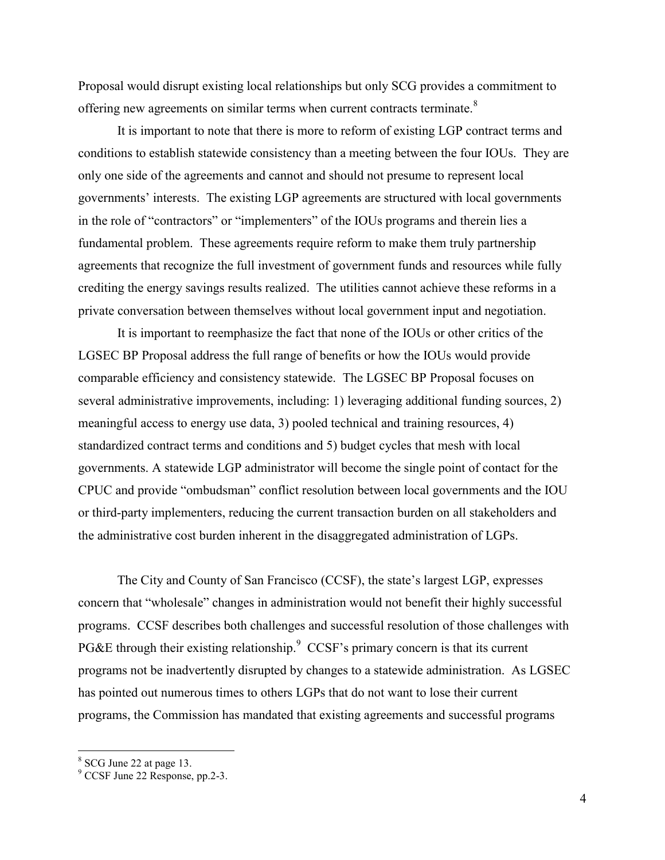Proposal would disrupt existing local relationships but only SCG provides a commitment to offering new agreements on similar terms when current contracts terminate.<sup>8</sup>

It is important to note that there is more to reform of existing LGP contract terms and conditions to establish statewide consistency than a meeting between the four IOUs. They are only one side of the agreements and cannot and should not presume to represent local governments' interests. The existing LGP agreements are structured with local governments in the role of "contractors" or "implementers" of the IOUs programs and therein lies a fundamental problem. These agreements require reform to make them truly partnership agreements that recognize the full investment of government funds and resources while fully crediting the energy savings results realized. The utilities cannot achieve these reforms in a private conversation between themselves without local government input and negotiation.

It is important to reemphasize the fact that none of the IOUs or other critics of the LGSEC BP Proposal address the full range of benefits or how the IOUs would provide comparable efficiency and consistency statewide. The LGSEC BP Proposal focuses on several administrative improvements, including: 1) leveraging additional funding sources, 2) meaningful access to energy use data, 3) pooled technical and training resources, 4) standardized contract terms and conditions and 5) budget cycles that mesh with local governments. A statewide LGP administrator will become the single point of contact for the CPUC and provide "ombudsman" conflict resolution between local governments and the IOU or third-party implementers, reducing the current transaction burden on all stakeholders and the administrative cost burden inherent in the disaggregated administration of LGPs.

The City and County of San Francisco (CCSF), the state's largest LGP, expresses concern that "wholesale" changes in administration would not benefit their highly successful programs. CCSF describes both challenges and successful resolution of those challenges with PG&E through their existing relationship.<sup>9</sup> CCSF's primary concern is that its current programs not be inadvertently disrupted by changes to a statewide administration. As LGSEC has pointed out numerous times to others LGPs that do not want to lose their current programs, the Commission has mandated that existing agreements and successful programs

<sup>&</sup>lt;sup>8</sup> SCG June 22 at page 13.

<sup>9</sup> CCSF June 22 Response, pp.2-3.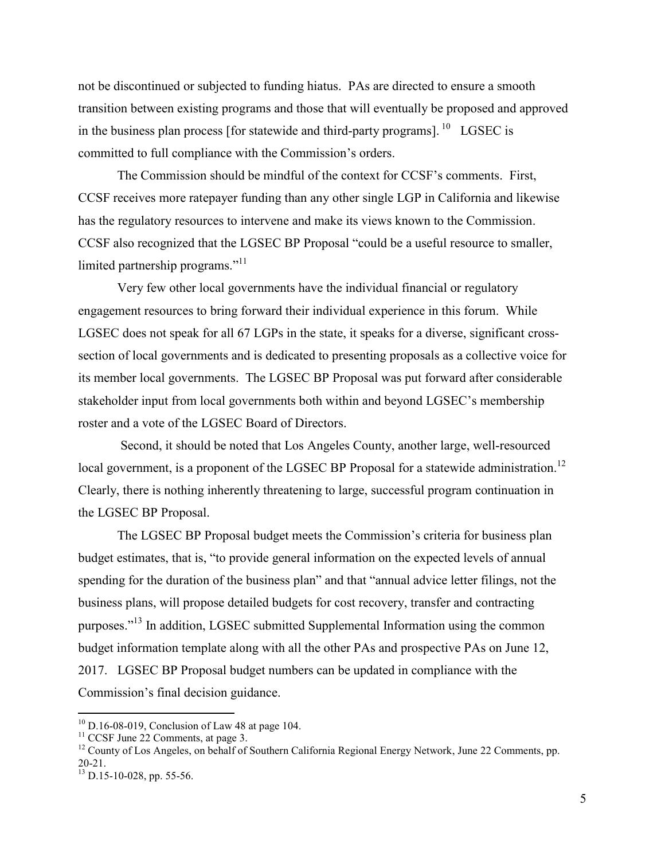not be discontinued or subjected to funding hiatus. PAs are directed to ensure a smooth transition between existing programs and those that will eventually be proposed and approved in the business plan process [for statewide and third-party programs]. <sup>10</sup> LGSEC is committed to full compliance with the Commission's orders.

The Commission should be mindful of the context for CCSF's comments. First, CCSF receives more ratepayer funding than any other single LGP in California and likewise has the regulatory resources to intervene and make its views known to the Commission. CCSF also recognized that the LGSEC BP Proposal "could be a useful resource to smaller, limited partnership programs."<sup>11</sup>

Very few other local governments have the individual financial or regulatory engagement resources to bring forward their individual experience in this forum. While LGSEC does not speak for all 67 LGPs in the state, it speaks for a diverse, significant crosssection of local governments and is dedicated to presenting proposals as a collective voice for its member local governments. The LGSEC BP Proposal was put forward after considerable stakeholder input from local governments both within and beyond LGSEC's membership roster and a vote of the LGSEC Board of Directors.

Second, it should be noted that Los Angeles County, another large, well-resourced local government, is a proponent of the LGSEC BP Proposal for a statewide administration.<sup>12</sup> Clearly, there is nothing inherently threatening to large, successful program continuation in the LGSEC BP Proposal.

The LGSEC BP Proposal budget meets the Commission's criteria for business plan budget estimates, that is, "to provide general information on the expected levels of annual spending for the duration of the business plan" and that "annual advice letter filings, not the business plans, will propose detailed budgets for cost recovery, transfer and contracting purposes."<sup>13</sup> In addition, LGSEC submitted Supplemental Information using the common budget information template along with all the other PAs and prospective PAs on June 12, 2017. LGSEC BP Proposal budget numbers can be updated in compliance with the Commission's final decision guidance.

 $10$  D.16-08-019, Conclusion of Law 48 at page 104.

 $11$  CCSF June 22 Comments, at page 3.

<sup>&</sup>lt;sup>12</sup> County of Los Angeles, on behalf of Southern California Regional Energy Network, June 22 Comments, pp. 20-21.

 $^{13}$  D.15-10-028, pp. 55-56.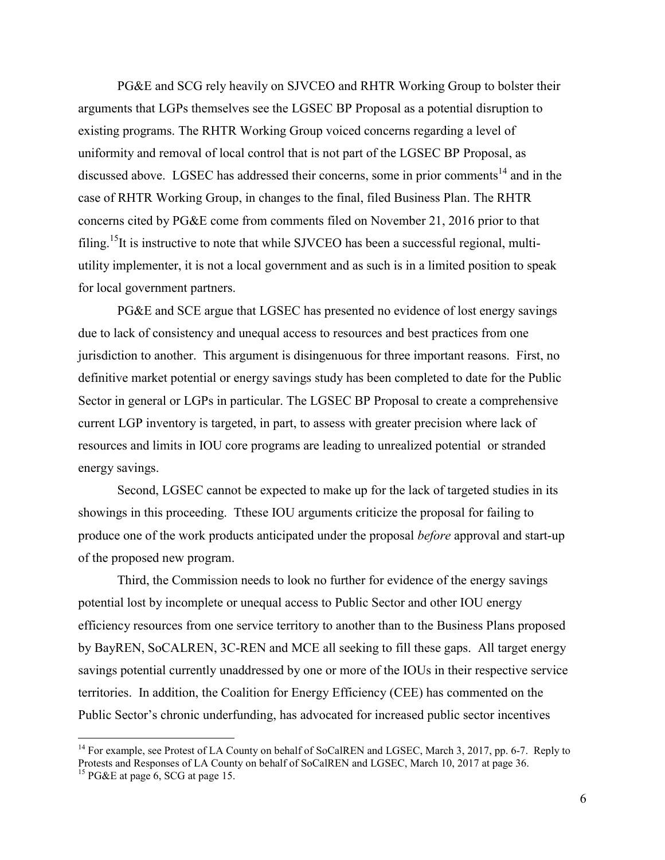PG&E and SCG rely heavily on SJVCEO and RHTR Working Group to bolster their arguments that LGPs themselves see the LGSEC BP Proposal as a potential disruption to existing programs. The RHTR Working Group voiced concerns regarding a level of uniformity and removal of local control that is not part of the LGSEC BP Proposal, as discussed above. LGSEC has addressed their concerns, some in prior comments<sup>14</sup> and in the case of RHTR Working Group, in changes to the final, filed Business Plan. The RHTR concerns cited by PG&E come from comments filed on November 21, 2016 prior to that filing.<sup>15</sup>It is instructive to note that while SJVCEO has been a successful regional, multiutility implementer, it is not a local government and as such is in a limited position to speak for local government partners.

PG&E and SCE argue that LGSEC has presented no evidence of lost energy savings due to lack of consistency and unequal access to resources and best practices from one jurisdiction to another. This argument is disingenuous for three important reasons. First, no definitive market potential or energy savings study has been completed to date for the Public Sector in general or LGPs in particular. The LGSEC BP Proposal to create a comprehensive current LGP inventory is targeted, in part, to assess with greater precision where lack of resources and limits in IOU core programs are leading to unrealized potential or stranded energy savings.

Second, LGSEC cannot be expected to make up for the lack of targeted studies in its showings in this proceeding. Tthese IOU arguments criticize the proposal for failing to produce one of the work products anticipated under the proposal *before* approval and start-up of the proposed new program.

Third, the Commission needs to look no further for evidence of the energy savings potential lost by incomplete or unequal access to Public Sector and other IOU energy efficiency resources from one service territory to another than to the Business Plans proposed by BayREN, SoCALREN, 3C-REN and MCE all seeking to fill these gaps. All target energy savings potential currently unaddressed by one or more of the IOUs in their respective service territories. In addition, the Coalition for Energy Efficiency (CEE) has commented on the Public Sector's chronic underfunding, has advocated for increased public sector incentives

<sup>&</sup>lt;sup>14</sup> For example, see Protest of LA County on behalf of SoCalREN and LGSEC, March 3, 2017, pp. 6-7. Reply to Protests and Responses of LA County on behalf of SoCalREN and LGSEC, March 10, 2017 at page 36.

<sup>&</sup>lt;sup>15</sup> PG&E at page 6, SCG at page 15.